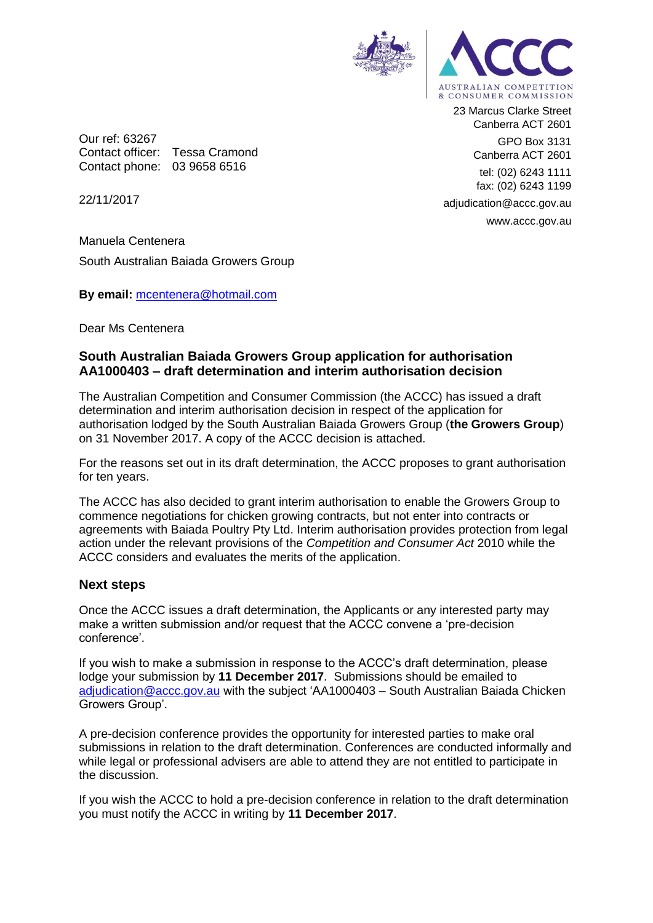

Our ref: 63267 Contact officer: Tessa Cramond Contact phone: 03 9658 6516

23 Marcus Clarke Street Canberra ACT 2601 GPO Box 3131 Canberra ACT 2601 tel: (02) 6243 1111 fax: (02) 6243 1199 adjudication@accc.gov.au www.accc.gov.au

22/11/2017

Manuela Centenera South Australian Baiada Growers Group

**By email:** [mcentenera@hotmail.com](mailto:mcentenera@hotmail.com)

Dear Ms Centenera

## **South Australian Baiada Growers Group application for authorisation AA1000403 – draft determination and interim authorisation decision**

The Australian Competition and Consumer Commission (the ACCC) has issued a draft determination and interim authorisation decision in respect of the application for authorisation lodged by the South Australian Baiada Growers Group (**the Growers Group**) on 31 November 2017. A copy of the ACCC decision is attached.

For the reasons set out in its draft determination, the ACCC proposes to grant authorisation for ten years.

The ACCC has also decided to grant interim authorisation to enable the Growers Group to commence negotiations for chicken growing contracts, but not enter into contracts or agreements with Baiada Poultry Pty Ltd. Interim authorisation provides protection from legal action under the relevant provisions of the *Competition and Consumer Act* 2010 while the ACCC considers and evaluates the merits of the application.

## **Next steps**

Once the ACCC issues a draft determination, the Applicants or any interested party may make a written submission and/or request that the ACCC convene a 'pre-decision conference'.

If you wish to make a submission in response to the ACCC's draft determination, please lodge your submission by **11 December 2017**. Submissions should be emailed to [adjudication@accc.gov.au](mailto:adjudication@accc.gov.au) with the subject 'AA1000403 – South Australian Baiada Chicken Growers Group'.

A pre-decision conference provides the opportunity for interested parties to make oral submissions in relation to the draft determination. Conferences are conducted informally and while legal or professional advisers are able to attend they are not entitled to participate in the discussion.

If you wish the ACCC to hold a pre-decision conference in relation to the draft determination you must notify the ACCC in writing by **11 December 2017**.